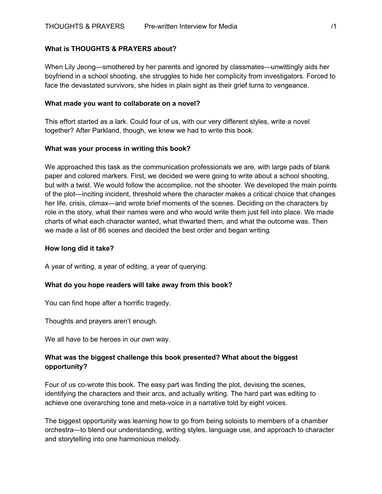# **What is THOUGHTS & PRAYERS about?**

When Lily Jeong—smothered by her parents and ignored by classmates—unwittingly aids her boyfriend in a school shooting, she struggles to hide her complicity from investigators. Forced to face the devastated survivors, she hides in plain sight as their grief turns to vengeance.

#### **What made you want to collaborate on a novel?**

This effort started as a lark. Could four of us, with our very different styles, write a novel together? After Parkland, though, we knew we had to write this book.

## **What was your process in writing this book?**

We approached this task as the communication professionals we are, with large pads of blank paper and colored markers. First, we decided we were going to write about a school shooting, but with a twist. We would follow the accomplice, not the shooter. We developed the main points of the plot—inciting incident, threshold where the character makes a critical choice that changes her life, crisis, climax—and wrote brief moments of the scenes. Deciding on the characters by role in the story, what their names were and who would write them just fell into place. We made charts of what each character wanted, what thwarted them, and what the outcome was. Then we made a list of 86 scenes and decided the best order and began writing.

## **How long did it take?**

A year of writing, a year of editing, a year of querying.

# **What do you hope readers will take away from this book?**

You can find hope after a horrific tragedy.

Thoughts and prayers aren't enough.

We all have to be heroes in our own way.

# **What was the biggest challenge this book presented? What about the biggest opportunity?**

Four of us co-wrote this book. The easy part was finding the plot, devising the scenes, identifying the characters and their arcs, and actually writing. The hard part was editing to achieve one overarching tone and meta-voice in a narrative told by eight voices.

The biggest opportunity was learning how to go from being soloists to members of a chamber orchestra—to blend our understanding, writing styles, language use, and approach to character and storytelling into one harmonious melody.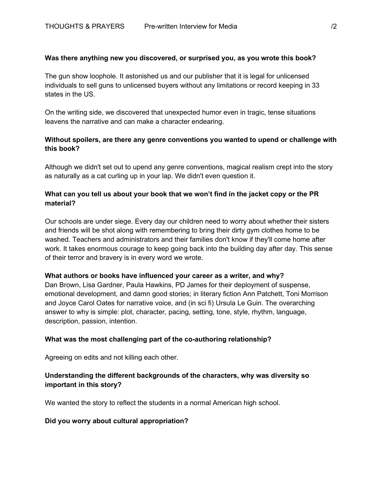## **Was there anything new you discovered, or surprised you, as you wrote this book?**

The gun show loophole. It astonished us and our publisher that it is legal for unlicensed individuals to sell guns to unlicensed buyers without any limitations or record keeping in 33 states in the US.

On the writing side, we discovered that unexpected humor even in tragic, tense situations leavens the narrative and can make a character endearing.

# **Without spoilers, are there any genre conventions you wanted to upend or challenge with this book?**

Although we didn't set out to upend any genre conventions, magical realism crept into the story as naturally as a cat curling up in your lap. We didn't even question it.

# **What can you tell us about your book that we won't find in the jacket copy or the PR material?**

Our schools are under siege. Every day our children need to worry about whether their sisters and friends will be shot along with remembering to bring their dirty gym clothes home to be washed. Teachers and administrators and their families don't know if they'll come home after work. It takes enormous courage to keep going back into the building day after day. This sense of their terror and bravery is in every word we wrote.

#### **What authors or books have influenced your career as a writer, and why?**

Dan Brown, Lisa Gardner, Paula Hawkins, PD James for their deployment of suspense, emotional development, and damn good stories; in literary fiction Ann Patchett, Toni Morrison and Joyce Carol Oates for narrative voice, and (in sci fi) Ursula Le Guin. The overarching answer to why is simple: plot, character, pacing, setting, tone, style, rhythm, language, description, passion, intention.

#### **What was the most challenging part of the co-authoring relationship?**

Agreeing on edits and not killing each other.

# **Understanding the different backgrounds of the characters, why was diversity so important in this story?**

We wanted the story to reflect the students in a normal American high school.

#### **Did you worry about cultural appropriation?**